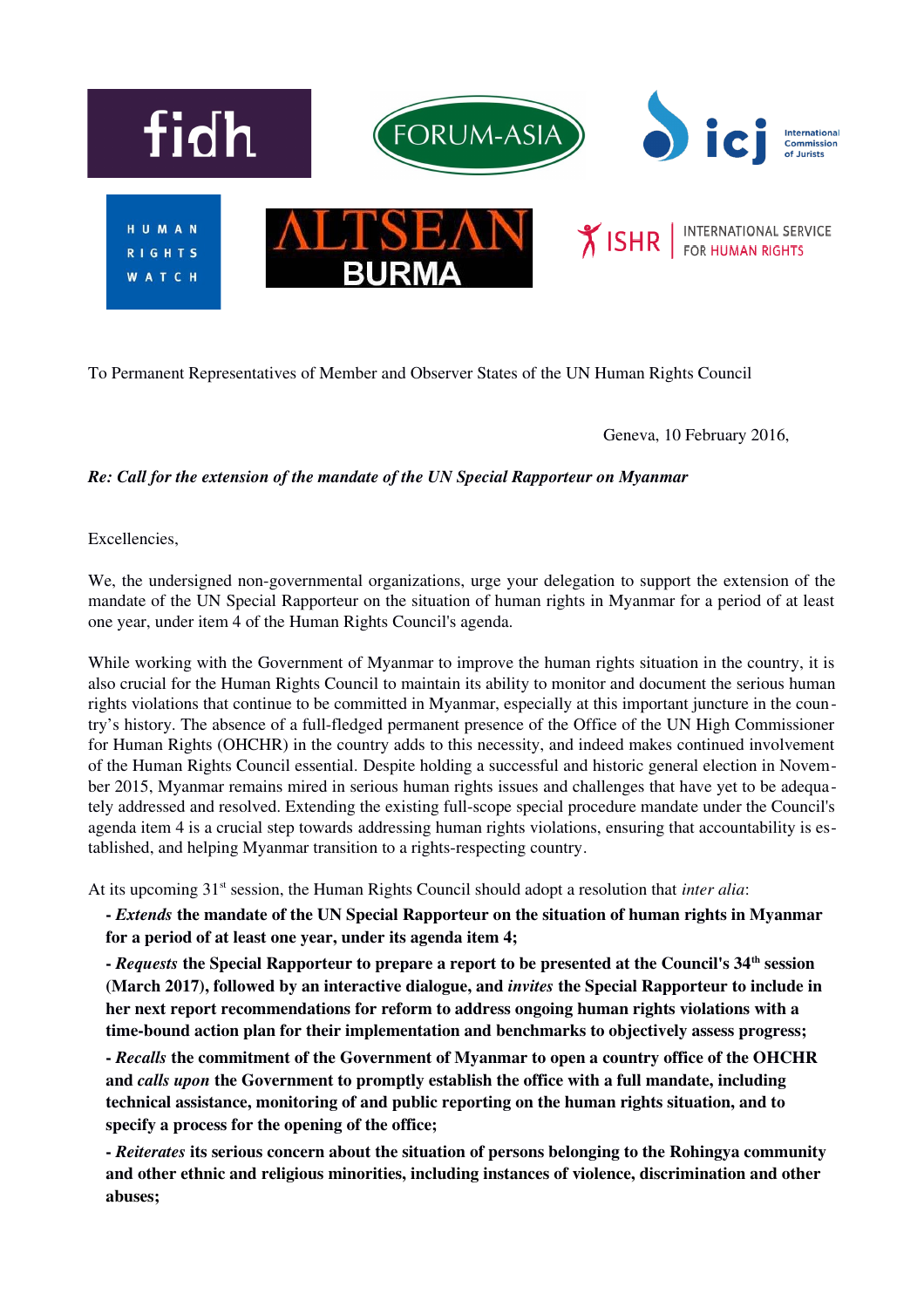

To Permanent Representatives of Member and Observer States of the UN Human Rights Council

Geneva, 10 February 2016,

## *Re: Call for the extension of the mandate of the UN Special Rapporteur on Myanmar*

Excellencies,

We, the undersigned non-governmental organizations, urge your delegation to support the extension of the mandate of the UN Special Rapporteur on the situation of human rights in Myanmar for a period of at least one year, under item 4 of the Human Rights Council's agenda.

While working with the Government of Myanmar to improve the human rights situation in the country, it is also crucial for the Human Rights Council to maintain its ability to monitor and document the serious human rights violations that continue to be committed in Myanmar, especially at this important juncture in the country's history. The absence of a full-fledged permanent presence of the Office of the UN High Commissioner for Human Rights (OHCHR) in the country adds to this necessity, and indeed makes continued involvement of the Human Rights Council essential. Despite holding a successful and historic general election in November 2015, Myanmar remains mired in serious human rights issues and challenges that have yet to be adequately addressed and resolved. Extending the existing full-scope special procedure mandate under the Council's agenda item 4 is a crucial step towards addressing human rights violations, ensuring that accountability is established, and helping Myanmar transition to a rights-respecting country.

At its upcoming 31<sup>st</sup> session, the Human Rights Council should adopt a resolution that *inter alia*:

 *Extends* the mandate of the UN Special Rapporteur on the situation of human rights in Myanmar for a period of at least one year, under its agenda item 4;

- *Requests* the Special Rapporteur to prepare a report to be presented at the Council's 34<sup>th</sup> session (March 2017), followed by an interactive dialogue, and *invites* the Special Rapporteur to include in her next report recommendations for reform to address ongoing human rights violations with a time-bound action plan for their implementation and benchmarks to objectively assess progress;

 *Recalls* the commitment of the Government of Myanmar to open a country office of the OHCHR and *calls upon* the Government to promptly establish the office with a full mandate, including technical assistance, monitoring of and public reporting on the human rights situation, and to specify a process for the opening of the office;

 *Reiterates* its serious concern about the situation of persons belonging to the Rohingya community and other ethnic and religious minorities, including instances of violence, discrimination and other abuses;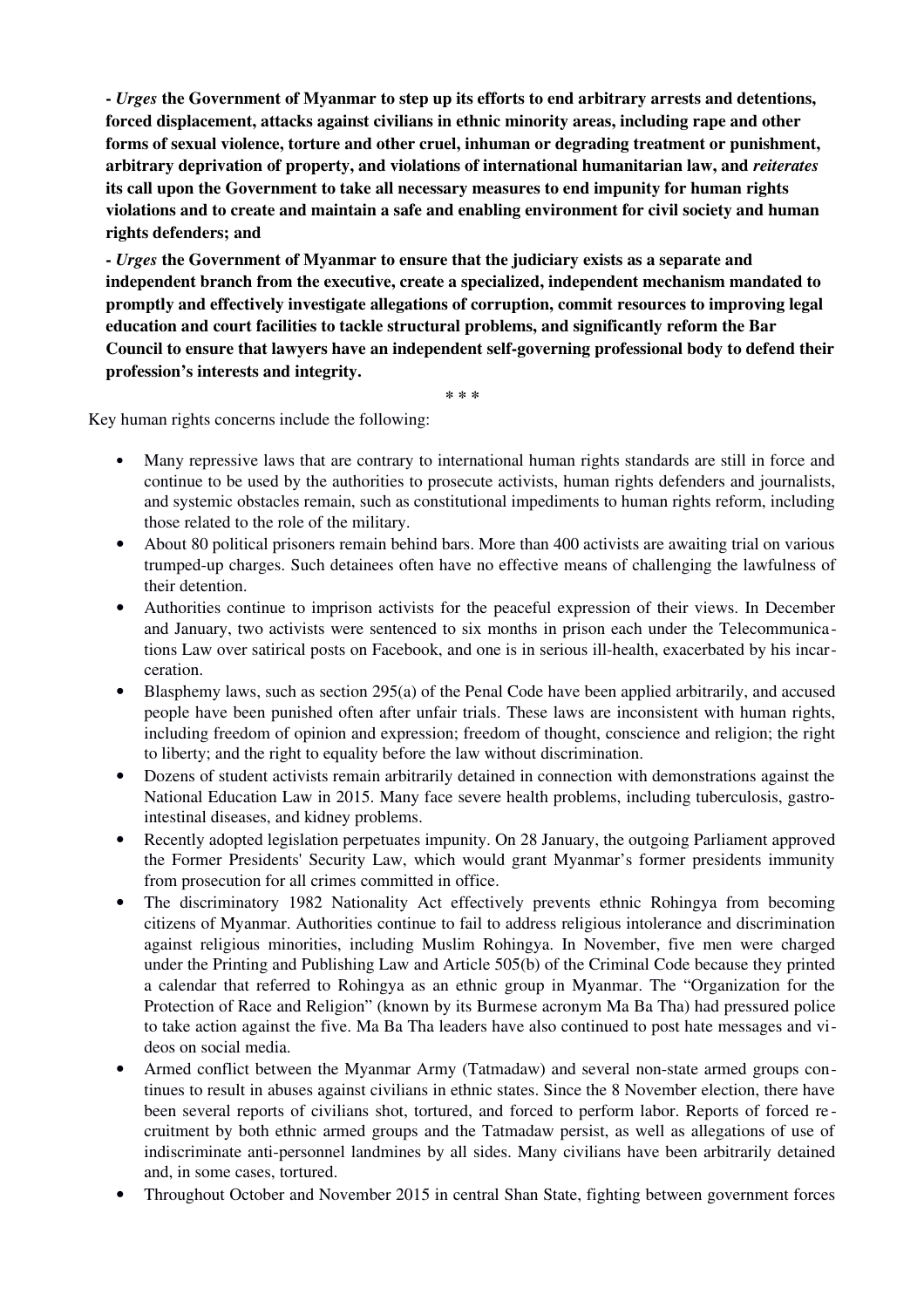*Urges* the Government of Myanmar to step up its efforts to end arbitrary arrests and detentions, forced displacement, attacks against civilians in ethnic minority areas, including rape and other forms of sexual violence, torture and other cruel, inhuman or degrading treatment or punishment, arbitrary deprivation of property, and violations of international humanitarian law, and *reiterates* its call upon the Government to take all necessary measures to end impunity for human rights violations and to create and maintain a safe and enabling environment for civil society and human rights defenders; and

 *Urges* the Government of Myanmar to ensure that the judiciary exists as a separate and independent branch from the executive, create a specialized, independent mechanism mandated to promptly and effectively investigate allegations of corruption, commit resources to improving legal education and court facilities to tackle structural problems, and significantly reform the Bar Council to ensure that lawyers have an independent self-governing professional body to defend their profession's interests and integrity.

\* \* \*

Key human rights concerns include the following:

- Many repressive laws that are contrary to international human rights standards are still in force and continue to be used by the authorities to prosecute activists, human rights defenders and journalists, and systemic obstacles remain, such as constitutional impediments to human rights reform, including those related to the role of the military.
- About 80 political prisoners remain behind bars. More than 400 activists are awaiting trial on various trumped-up charges. Such detainees often have no effective means of challenging the lawfulness of their detention.
- Authorities continue to imprison activists for the peaceful expression of their views. In December and January, two activists were sentenced to six months in prison each under the Telecommunications Law over satirical posts on Facebook, and one is in serious ill-health, exacerbated by his incarceration.
- Blasphemy laws, such as section 295(a) of the Penal Code have been applied arbitrarily, and accused people have been punished often after unfair trials. These laws are inconsistent with human rights, including freedom of opinion and expression; freedom of thought, conscience and religion; the right to liberty; and the right to equality before the law without discrimination.
- Dozens of student activists remain arbitrarily detained in connection with demonstrations against the National Education Law in 2015. Many face severe health problems, including tuberculosis, gastrointestinal diseases, and kidney problems.
- Recently adopted legislation perpetuates impunity. On 28 January, the outgoing Parliament approved the Former Presidents' Security Law, which would grant Myanmar's former presidents immunity from prosecution for all crimes committed in office.
- The discriminatory 1982 Nationality Act effectively prevents ethnic Rohingya from becoming citizens of Myanmar. Authorities continue to fail to address religious intolerance and discrimination against religious minorities, including Muslim Rohingya. In November, five men were charged under the Printing and Publishing Law and Article 505(b) of the Criminal Code because they printed a calendar that referred to Rohingya as an ethnic group in Myanmar. The "Organization for the Protection of Race and Religion" (known by its Burmese acronym Ma Ba Tha) had pressured police to take action against the five. Ma Ba Tha leaders have also continued to post hate messages and videos on social media.
- Armed conflict between the Myanmar Army (Tatmadaw) and several nonstate armed groups continues to result in abuses against civilians in ethnic states. Since the 8 November election, there have been several reports of civilians shot, tortured, and forced to perform labor. Reports of forced re cruitment by both ethnic armed groups and the Tatmadaw persist, as well as allegations of use of indiscriminate anti-personnel landmines by all sides. Many civilians have been arbitrarily detained and, in some cases, tortured.
- Throughout October and November 2015 in central Shan State, fighting between government forces